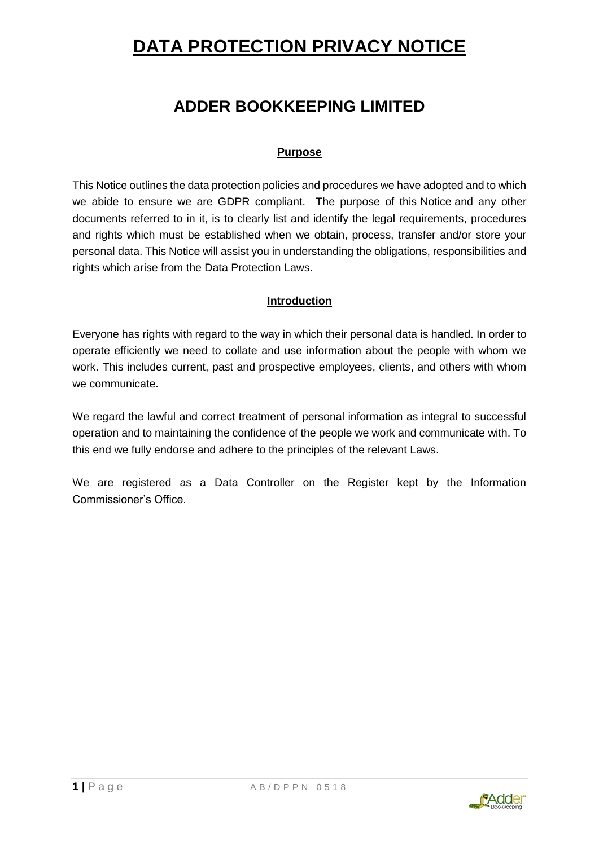## **ADDER BOOKKEEPING LIMITED**

## **Purpose**

This Notice outlines the data protection policies and procedures we have adopted and to which we abide to ensure we are GDPR compliant. The purpose of this Notice and any other documents referred to in it, is to clearly list and identify the legal requirements, procedures and rights which must be established when we obtain, process, transfer and/or store your personal data. This Notice will assist you in understanding the obligations, responsibilities and rights which arise from the Data Protection Laws.

### **Introduction**

Everyone has rights with regard to the way in which their personal data is handled. In order to operate efficiently we need to collate and use information about the people with whom we work. This includes current, past and prospective employees, clients, and others with whom we communicate.

We regard the lawful and correct treatment of personal information as integral to successful operation and to maintaining the confidence of the people we work and communicate with. To this end we fully endorse and adhere to the principles of the relevant Laws.

We are registered as a Data Controller on the Register kept by the Information Commissioner's Office.

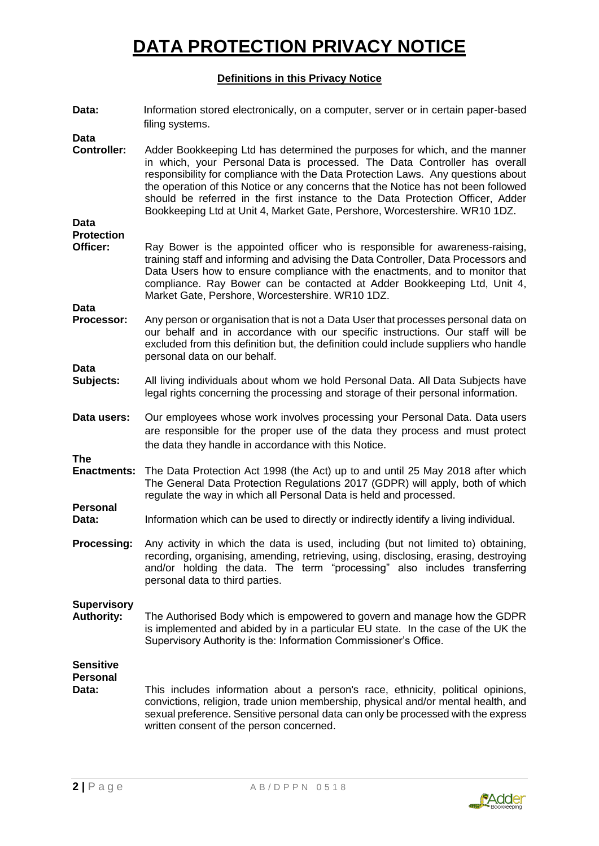#### **Definitions in this Privacy Notice**

| Data:                                               | Information stored electronically, on a computer, server or in certain paper-based<br>filing systems.                                                                                                                                                                                                                                                                                                                                                                                                |
|-----------------------------------------------------|------------------------------------------------------------------------------------------------------------------------------------------------------------------------------------------------------------------------------------------------------------------------------------------------------------------------------------------------------------------------------------------------------------------------------------------------------------------------------------------------------|
| <b>Data</b><br><b>Controller:</b>                   | Adder Bookkeeping Ltd has determined the purposes for which, and the manner<br>in which, your Personal Data is processed. The Data Controller has overall<br>responsibility for compliance with the Data Protection Laws. Any questions about<br>the operation of this Notice or any concerns that the Notice has not been followed<br>should be referred in the first instance to the Data Protection Officer, Adder<br>Bookkeeping Ltd at Unit 4, Market Gate, Pershore, Worcestershire. WR10 1DZ. |
| Data<br><b>Protection</b><br>Officer:               | Ray Bower is the appointed officer who is responsible for awareness-raising,<br>training staff and informing and advising the Data Controller, Data Processors and<br>Data Users how to ensure compliance with the enactments, and to monitor that<br>compliance. Ray Bower can be contacted at Adder Bookkeeping Ltd, Unit 4,<br>Market Gate, Pershore, Worcestershire. WR10 1DZ.                                                                                                                   |
| <b>Data</b><br>Processor:                           | Any person or organisation that is not a Data User that processes personal data on<br>our behalf and in accordance with our specific instructions. Our staff will be<br>excluded from this definition but, the definition could include suppliers who handle<br>personal data on our behalf.                                                                                                                                                                                                         |
| <b>Data</b><br>Subjects:                            | All living individuals about whom we hold Personal Data. All Data Subjects have<br>legal rights concerning the processing and storage of their personal information.                                                                                                                                                                                                                                                                                                                                 |
| Data users:                                         | Our employees whose work involves processing your Personal Data. Data users<br>are responsible for the proper use of the data they process and must protect<br>the data they handle in accordance with this Notice.                                                                                                                                                                                                                                                                                  |
| <b>The</b><br><b>Enactments:</b><br><b>Personal</b> | The Data Protection Act 1998 (the Act) up to and until 25 May 2018 after which<br>The General Data Protection Regulations 2017 (GDPR) will apply, both of which<br>regulate the way in which all Personal Data is held and processed.                                                                                                                                                                                                                                                                |
| Data:                                               | Information which can be used to directly or indirectly identify a living individual.                                                                                                                                                                                                                                                                                                                                                                                                                |
| Processing:                                         | Any activity in which the data is used, including (but not limited to) obtaining,<br>recording, organising, amending, retrieving, using, disclosing, erasing, destroying<br>and/or holding the data. The term "processing" also includes transferring<br>personal data to third parties.                                                                                                                                                                                                             |
| <b>Supervisory</b><br><b>Authority:</b>             | The Authorised Body which is empowered to govern and manage how the GDPR<br>is implemented and abided by in a particular EU state. In the case of the UK the<br>Supervisory Authority is the: Information Commissioner's Office.                                                                                                                                                                                                                                                                     |
| <b>Sensitive</b><br><b>Personal</b><br>Data:        | This includes information about a person's race, ethnicity, political opinions,<br>convictions, religion, trade union membership, physical and/or mental health, and<br>sexual preference. Sensitive personal data can only be processed with the express<br>written consent of the person concerned.                                                                                                                                                                                                |

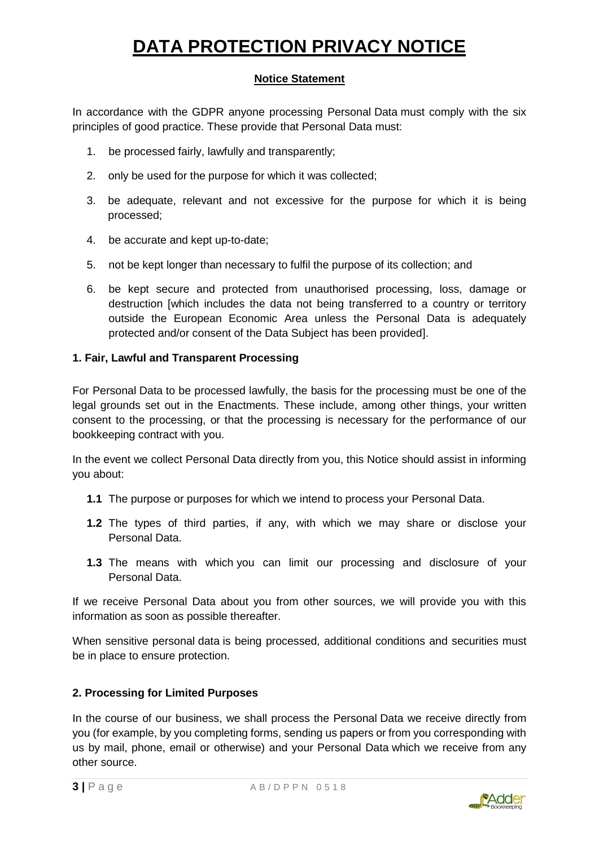### **Notice Statement**

In accordance with the GDPR anyone processing Personal Data must comply with the six principles of good practice. These provide that Personal Data must:

- 1. be processed fairly, lawfully and transparently;
- 2. only be used for the purpose for which it was collected;
- 3. be adequate, relevant and not excessive for the purpose for which it is being processed;
- 4. be accurate and kept up-to-date;
- 5. not be kept longer than necessary to fulfil the purpose of its collection; and
- 6. be kept secure and protected from unauthorised processing, loss, damage or destruction [which includes the data not being transferred to a country or territory outside the European Economic Area unless the Personal Data is adequately protected and/or consent of the Data Subject has been provided].

#### **1. Fair, Lawful and Transparent Processing**

For Personal Data to be processed lawfully, the basis for the processing must be one of the legal grounds set out in the Enactments. These include, among other things, your written consent to the processing, or that the processing is necessary for the performance of our bookkeeping contract with you.

In the event we collect Personal Data directly from you, this Notice should assist in informing you about:

- **1.1** The purpose or purposes for which we intend to process your Personal Data.
- **1.2** The types of third parties, if any, with which we may share or disclose your Personal Data.
- **1.3** The means with which you can limit our processing and disclosure of your Personal Data.

If we receive Personal Data about you from other sources, we will provide you with this information as soon as possible thereafter.

When sensitive personal data is being processed, additional conditions and securities must be in place to ensure protection.

### **2. Processing for Limited Purposes**

In the course of our business, we shall process the Personal Data we receive directly from you (for example, by you completing forms, sending us papers or from you corresponding with us by mail, phone, email or otherwise) and your Personal Data which we receive from any other source.

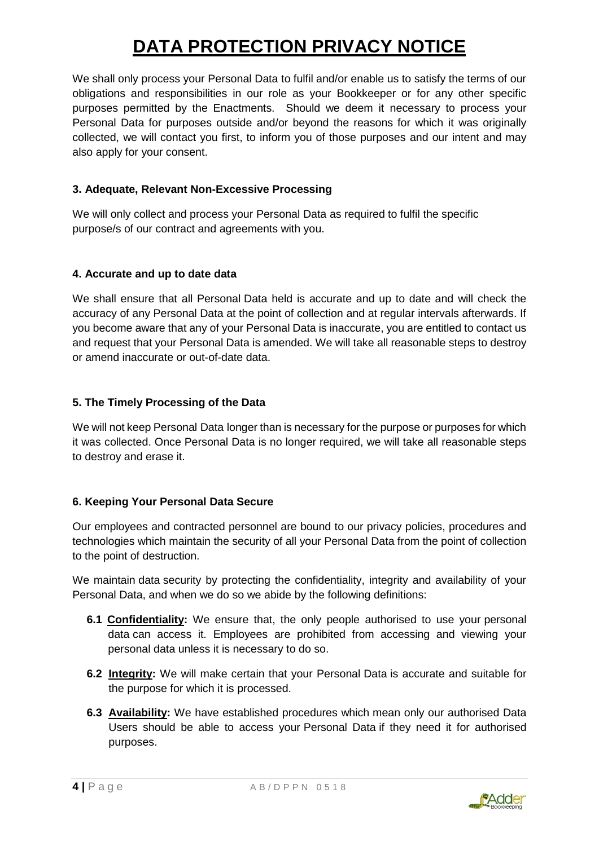We shall only process your Personal Data to fulfil and/or enable us to satisfy the terms of our obligations and responsibilities in our role as your Bookkeeper or for any other specific purposes permitted by the Enactments. Should we deem it necessary to process your Personal Data for purposes outside and/or beyond the reasons for which it was originally collected, we will contact you first, to inform you of those purposes and our intent and may also apply for your consent.

## **3. Adequate, Relevant Non-Excessive Processing**

We will only collect and process your Personal Data as required to fulfil the specific purpose/s of our contract and agreements with you.

### **4. Accurate and up to date data**

We shall ensure that all Personal Data held is accurate and up to date and will check the accuracy of any Personal Data at the point of collection and at regular intervals afterwards. If you become aware that any of your Personal Data is inaccurate, you are entitled to contact us and request that your Personal Data is amended. We will take all reasonable steps to destroy or amend inaccurate or out-of-date data.

### **5. The Timely Processing of the Data**

We will not keep Personal Data longer than is necessary for the purpose or purposes for which it was collected. Once Personal Data is no longer required, we will take all reasonable steps to destroy and erase it.

## **6. Keeping Your Personal Data Secure**

Our employees and contracted personnel are bound to our privacy policies, procedures and technologies which maintain the security of all your Personal Data from the point of collection to the point of destruction.

We maintain data security by protecting the confidentiality, integrity and availability of your Personal Data, and when we do so we abide by the following definitions:

- **6.1 Confidentiality:** We ensure that, the only people authorised to use your personal data can access it. Employees are prohibited from accessing and viewing your personal data unless it is necessary to do so.
- **6.2 Integrity:** We will make certain that your Personal Data is accurate and suitable for the purpose for which it is processed.
- **6.3 Availability:** We have established procedures which mean only our authorised Data Users should be able to access your Personal Data if they need it for authorised purposes.

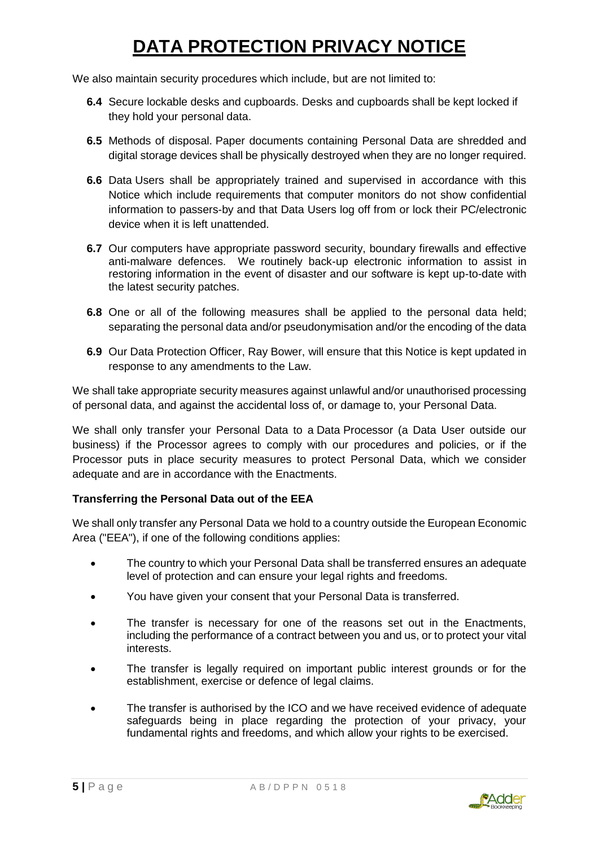We also maintain security procedures which include, but are not limited to:

- **6.4** Secure lockable desks and cupboards. Desks and cupboards shall be kept locked if they hold your personal data.
- **6.5** Methods of disposal. Paper documents containing Personal Data are shredded and digital storage devices shall be physically destroyed when they are no longer required.
- **6.6** Data Users shall be appropriately trained and supervised in accordance with this Notice which include requirements that computer monitors do not show confidential information to passers-by and that Data Users log off from or lock their PC/electronic device when it is left unattended.
- **6.7** Our computers have appropriate password security, boundary firewalls and effective anti-malware defences. We routinely back-up electronic information to assist in restoring information in the event of disaster and our software is kept up-to-date with the latest security patches.
- **6.8** One or all of the following measures shall be applied to the personal data held; separating the personal data and/or pseudonymisation and/or the encoding of the data
- **6.9** Our Data Protection Officer, Ray Bower, will ensure that this Notice is kept updated in response to any amendments to the Law.

We shall take appropriate security measures against unlawful and/or unauthorised processing of personal data, and against the accidental loss of, or damage to, your Personal Data.

We shall only transfer your Personal Data to a Data Processor (a Data User outside our business) if the Processor agrees to comply with our procedures and policies, or if the Processor puts in place security measures to protect Personal Data, which we consider adequate and are in accordance with the Enactments.

### **Transferring the Personal Data out of the EEA**

We shall only transfer any Personal Data we hold to a country outside the European Economic Area ("EEA"), if one of the following conditions applies:

- The country to which your Personal Data shall be transferred ensures an adequate level of protection and can ensure your legal rights and freedoms.
- You have given your consent that your Personal Data is transferred.
- The transfer is necessary for one of the reasons set out in the Enactments, including the performance of a contract between you and us, or to protect your vital interests.
- The transfer is legally required on important public interest grounds or for the establishment, exercise or defence of legal claims.
- The transfer is authorised by the ICO and we have received evidence of adequate safeguards being in place regarding the protection of your privacy, your fundamental rights and freedoms, and which allow your rights to be exercised.

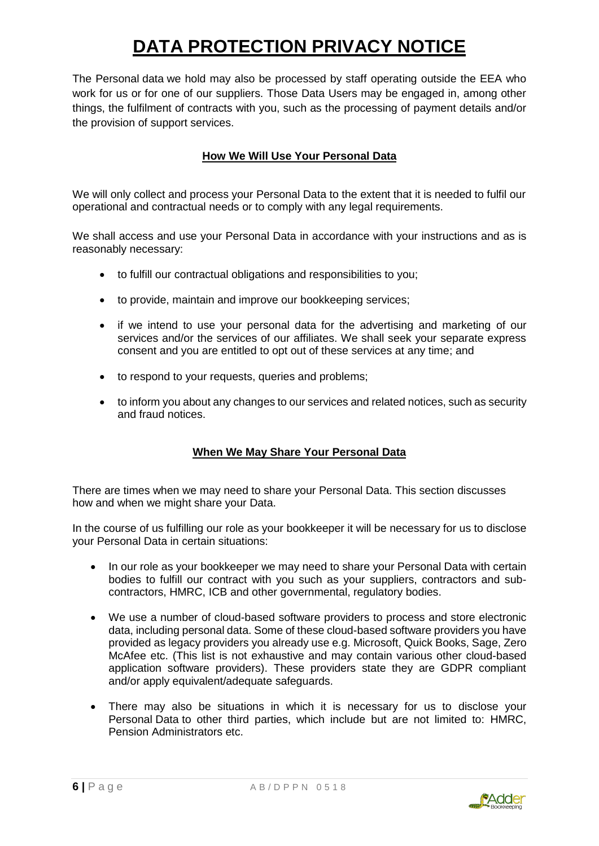The Personal data we hold may also be processed by staff operating outside the EEA who work for us or for one of our suppliers. Those Data Users may be engaged in, among other things, the fulfilment of contracts with you, such as the processing of payment details and/or the provision of support services.

## **How We Will Use Your Personal Data**

We will only collect and process your Personal Data to the extent that it is needed to fulfil our operational and contractual needs or to comply with any legal requirements.

We shall access and use your Personal Data in accordance with your instructions and as is reasonably necessary:

- to fulfill our contractual obligations and responsibilities to you;
- to provide, maintain and improve our bookkeeping services;
- if we intend to use your personal data for the advertising and marketing of our services and/or the services of our affiliates. We shall seek your separate express consent and you are entitled to opt out of these services at any time; and
- to respond to your requests, queries and problems;
- to inform you about any changes to our services and related notices, such as security and fraud notices.

## **When We May Share Your Personal Data**

There are times when we may need to share your Personal Data. This section discusses how and when we might share your Data.

In the course of us fulfilling our role as your bookkeeper it will be necessary for us to disclose your Personal Data in certain situations:

- In our role as your bookkeeper we may need to share your Personal Data with certain bodies to fulfill our contract with you such as your suppliers, contractors and subcontractors, HMRC, ICB and other governmental, regulatory bodies.
- We use a number of cloud-based software providers to process and store electronic data, including personal data. Some of these cloud-based software providers you have provided as legacy providers you already use e.g. Microsoft, Quick Books, Sage, Zero McAfee etc. (This list is not exhaustive and may contain various other cloud-based application software providers). These providers state they are GDPR compliant and/or apply equivalent/adequate safeguards.
- There may also be situations in which it is necessary for us to disclose your Personal Data to other third parties, which include but are not limited to: HMRC, Pension Administrators etc.

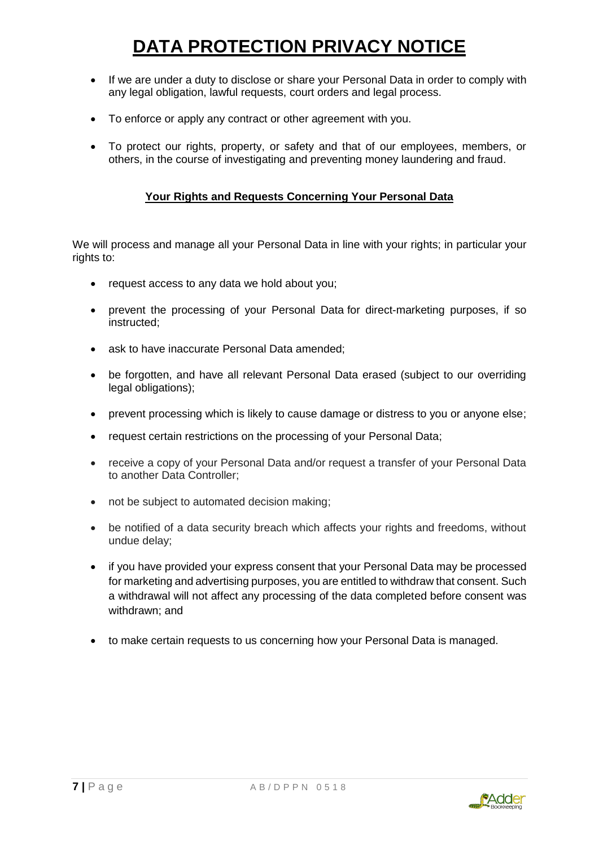- If we are under a duty to disclose or share your Personal Data in order to comply with any legal obligation, lawful requests, court orders and legal process.
- To enforce or apply any contract or other agreement with you.
- To protect our rights, property, or safety and that of our employees, members, or others, in the course of investigating and preventing money laundering and fraud.

## **Your Rights and Requests Concerning Your Personal Data**

We will process and manage all your Personal Data in line with your rights; in particular your rights to:

- request access to any data we hold about you;
- prevent the processing of your Personal Data for direct-marketing purposes, if so instructed;
- ask to have inaccurate Personal Data amended:
- be forgotten, and have all relevant Personal Data erased (subject to our overriding legal obligations);
- prevent processing which is likely to cause damage or distress to you or anyone else;
- request certain restrictions on the processing of your Personal Data;
- receive a copy of your Personal Data and/or request a transfer of your Personal Data to another Data Controller;
- not be subject to automated decision making;
- be notified of a data security breach which affects your rights and freedoms, without undue delay;
- if you have provided your express consent that your Personal Data may be processed for marketing and advertising purposes, you are entitled to withdraw that consent. Such a withdrawal will not affect any processing of the data completed before consent was withdrawn; and
- to make certain requests to us concerning how your Personal Data is managed.

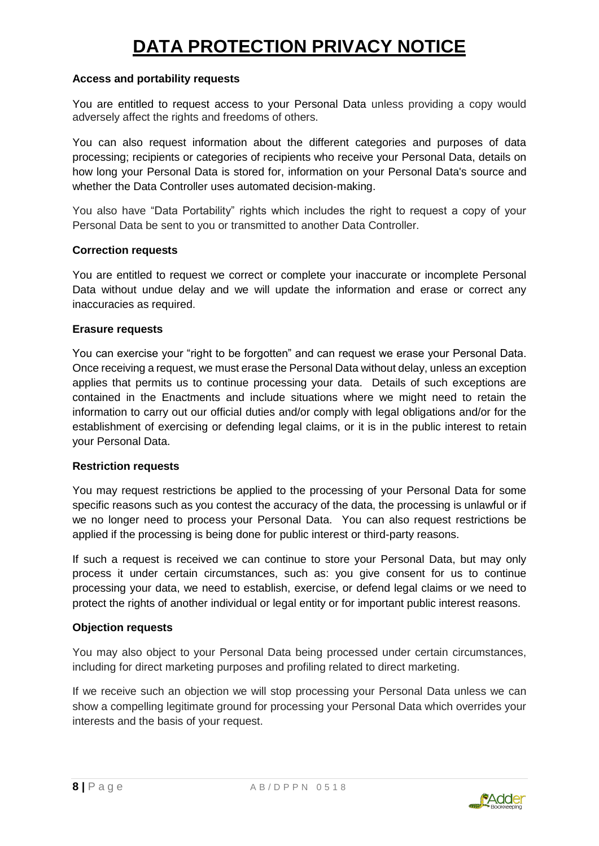#### **Access and portability requests**

You are entitled to request access to your Personal Data unless providing a copy would adversely affect the rights and freedoms of others.

You can also request information about the different categories and purposes of data processing; recipients or categories of recipients who receive your Personal Data, details on how long your Personal Data is stored for, information on your Personal Data's source and whether the Data Controller uses automated decision-making.

You also have "Data Portability" rights which includes the right to request a copy of your Personal Data be sent to you or transmitted to another Data Controller.

#### **Correction requests**

You are entitled to request we correct or complete your inaccurate or incomplete Personal Data without undue delay and we will update the information and erase or correct any inaccuracies as required.

#### **Erasure requests**

You can exercise your "right to be forgotten" and can request we erase your Personal Data. Once receiving a request, we must erase the Personal Data without delay, unless an exception applies that permits us to continue processing your data. Details of such exceptions are contained in the Enactments and include situations where we might need to retain the information to carry out our official duties and/or comply with legal obligations and/or for the establishment of exercising or defending legal claims, or it is in the public interest to retain your Personal Data.

### **Restriction requests**

You may request restrictions be applied to the processing of your Personal Data for some specific reasons such as you contest the accuracy of the data, the processing is unlawful or if we no longer need to process your Personal Data. You can also request restrictions be applied if the processing is being done for public interest or third-party reasons.

If such a request is received we can continue to store your Personal Data, but may only process it under certain circumstances, such as: you give consent for us to continue processing your data, we need to establish, exercise, or defend legal claims or we need to protect the rights of another individual or legal entity or for important public interest reasons.

#### **Objection requests**

You may also object to your Personal Data being processed under certain circumstances, including for direct marketing purposes and profiling related to direct marketing.

If we receive such an objection we will stop processing your Personal Data unless we can show a compelling legitimate ground for processing your Personal Data which overrides your interests and the basis of your request.

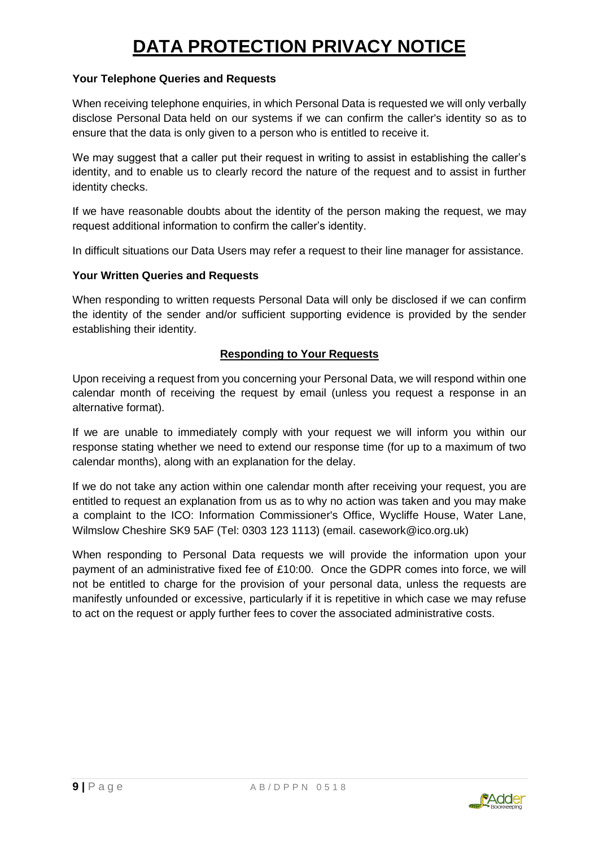#### **Your Telephone Queries and Requests**

When receiving telephone enquiries, in which Personal Data is requested we will only verbally disclose Personal Data held on our systems if we can confirm the caller's identity so as to ensure that the data is only given to a person who is entitled to receive it.

We may suggest that a caller put their request in writing to assist in establishing the caller's identity, and to enable us to clearly record the nature of the request and to assist in further identity checks.

If we have reasonable doubts about the identity of the person making the request, we may request additional information to confirm the caller's identity.

In difficult situations our Data Users may refer a request to their line manager for assistance.

#### **Your Written Queries and Requests**

When responding to written requests Personal Data will only be disclosed if we can confirm the identity of the sender and/or sufficient supporting evidence is provided by the sender establishing their identity.

### **Responding to Your Requests**

Upon receiving a request from you concerning your Personal Data, we will respond within one calendar month of receiving the request by email (unless you request a response in an alternative format).

If we are unable to immediately comply with your request we will inform you within our response stating whether we need to extend our response time (for up to a maximum of two calendar months), along with an explanation for the delay.

If we do not take any action within one calendar month after receiving your request, you are entitled to request an explanation from us as to why no action was taken and you may make a complaint to the ICO: Information Commissioner's Office, Wycliffe House, Water Lane, Wilmslow Cheshire SK9 5AF (Tel: 0303 123 1113) (email. [casework@ico.org.uk\)](mailto:casework@ico.org.uk)

When responding to Personal Data requests we will provide the information upon your payment of an administrative fixed fee of £10:00. Once the GDPR comes into force, we will not be entitled to charge for the provision of your personal data, unless the requests are manifestly unfounded or excessive, particularly if it is repetitive in which case we may refuse to act on the request or apply further fees to cover the associated administrative costs.